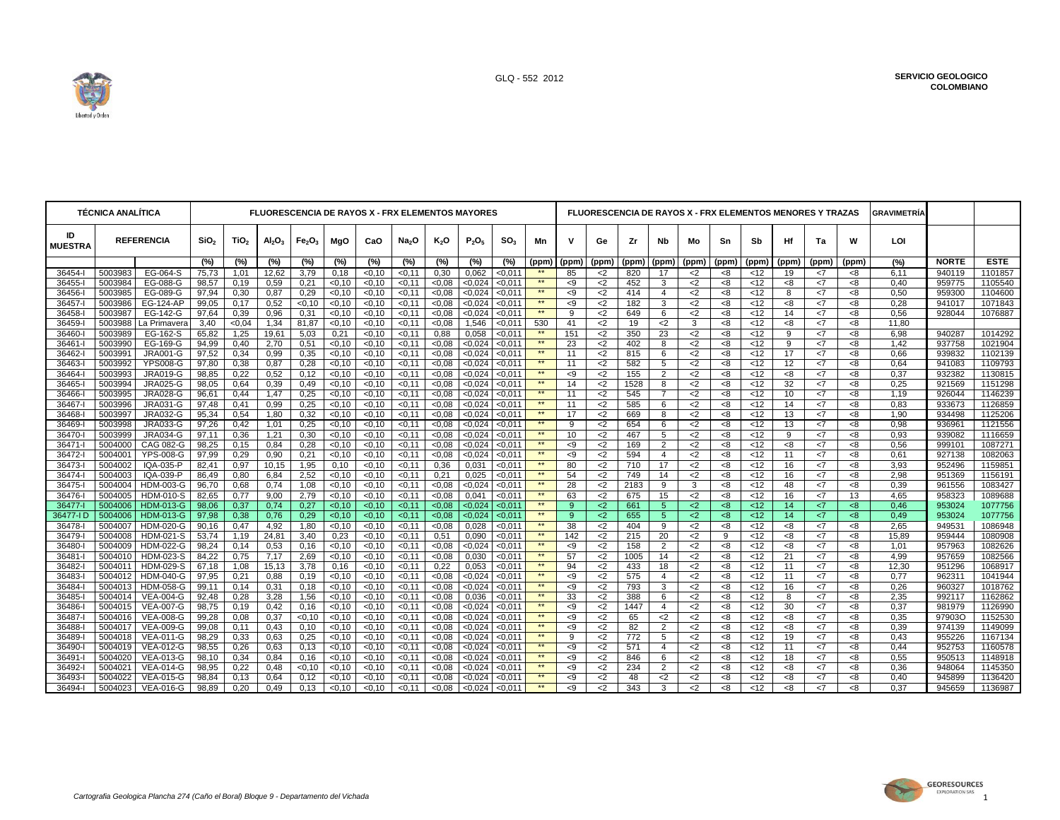

─ा

Τ

т

| <b>TÉCNICA ANALÍTICA</b> |                    |                               | <b>FLUORESCENCIA DE RAYOS X - FRX ELEMENTOS MAYORES</b> |                  |                                |                                |                   |                  |                   |                |                    |                    |                      | FLUORESCENCIA DE RAYOS X - FRX ELEMENTOS MENORES Y TRAZAS |                |            |                      |                |          |               |           |             |           | <b>GRAVIMETRÍA</b> |                  |                    |
|--------------------------|--------------------|-------------------------------|---------------------------------------------------------|------------------|--------------------------------|--------------------------------|-------------------|------------------|-------------------|----------------|--------------------|--------------------|----------------------|-----------------------------------------------------------|----------------|------------|----------------------|----------------|----------|---------------|-----------|-------------|-----------|--------------------|------------------|--------------------|
| ID<br><b>MUESTRA</b>     |                    | <b>REFERENCIA</b>             | SiO <sub>2</sub>                                        | TiO <sub>2</sub> | Al <sub>2</sub> O <sub>3</sub> | Fe <sub>2</sub> O <sub>3</sub> | MgO               | CaO              | Na <sub>2</sub> O | $K_2O$         | $P_2O_5$           | SO <sub>3</sub>    | Mn                   | ν                                                         | Ge             | Zr         | Nb                   | Mo             | Sn       | Sb            | Ηf        | Ta          | w         | LOI                |                  |                    |
|                          |                    |                               | (%)                                                     | $(\%)$           | $\sqrt{(0)}$                   | (%)                            | (%)               | $(\%)$           | (%)               | (%)            | $(\%)$             | $(\%)$             | (ppm)                | (ppm)                                                     | (ppm)          | (ppm)      | (ppm)                | (ppm)          | (ppm)    | (ppm)         | (ppm)     | (ppm)       | (ppm)     | (%)                | <b>NORTE</b>     | <b>ESTE</b>        |
| 36454-l                  | 5003983            | EG-064-S                      | 75,73                                                   | 1,01             | 12,62                          | 3,79                           | 0,18              | < 0.10           | < 0.11            | 0,30           | 0,062              | 0.011              |                      | 85                                                        | $<$ 2          | 820        | 17                   | $<$ 2          | -8       | $<$ 12        | 19        | $<$ 7       | -8        | 6.11               | 940119           | 1101857            |
| 36455-                   | 5003984            | EG-088-G                      | 98,57                                                   | 0,19             | 0,59                           | 0,21                           | <0,10             | < 0.10           | < 0.11            | <0.08          | < 0.024            | < 0.011            |                      | < 9                                                       | $<$ 2          | 452        | 3                    | $<$ 2          | <8       | <12           | -8        | <7          | <8        | 0,40               | 959775           | 1105540            |
| 36456-                   | 5003985            | EG-089-G                      | 97,94                                                   | 0,30             | 0.87                           | 0.29                           | < 0.10            | < 0.10           | < 0.11            | <0.08          | < 0.024            | < 0.011            | $\star\star$<br>$**$ | < 9                                                       | $2$            | 414        | $\overline{4}$       | $2$            | -8       | <12           | 8         | <7          | < 8       | 0.50               | 959300           | 1104600            |
| 36457-<br>36458-         | 5003986<br>5003987 | <b>EG-124-AP</b><br>EG-142-G  | 99,05                                                   | 0,17             | 0,52                           | < 0, 10                        | < 0, 10           | < 0.10           | < 0, 11           | <0.08          | < 0.024            | < 0,011            | **                   | < 9<br>9                                                  | $<$ 2          | 182        | 3<br>6               | <2             | <8       | <12           | -8        | <7<br><7    | -8        | 0,28<br>0.56       | 941017<br>928044 | 1071843<br>1076887 |
| 36459-                   |                    | 5003988   La Primavera        | 97,64<br>3,40                                           | 0,39<br><0.04    | 0,96<br>1,34                   | 0,31<br>81,87                  | < 0.10<br>< 0.10  | < 0.10<br>< 0.10 | < 0.11<br>< 0.11  | <0.08<br><0.08 | < 0.024<br>1,546   | 0.011<br>< 0.011   | 530                  | 41                                                        | $<$ 2<br>$<$ 2 | 649<br>19  | $<$ 2                | $<$ 2<br>3     | <8<br>-8 | <12<br><12    | 14<br>-8  | <7          | -8<br>-8  | 11,80              |                  |                    |
| 36460-l                  | 5003989            | EG-162-S                      | 65,82                                                   | 1,25             | 19,61                          | 5,03                           | 0,21              | <0,10            | < 0, 11           | 0,88           | 0,058              | $0,011$            | $\star\star$         | 151                                                       | $<$ 2          | 350        | 23                   | $<$ 2          | <8       | <12           | 9         | <7          | -8        | 6,98               | 940287           | 1014292            |
| 36461-l                  | 5003990            | EG-169-G                      | 94.99                                                   | 0,40             | 2,70                           | 0,51                           | < 0.10            | < 0.10           | < 0.11            | <0.08          | < 0.024            | < 0.011            | $**$                 | 23                                                        | $2$            | 402        | 8                    | $2$            | < 8      | <12           | 9         | <7          | < 8       | 1.42               | 937758           | 1021904            |
| 36462-                   | 5003991            | <b>JRA001-G</b>               | 97,52                                                   | 0,34             | 0,99                           | 0,35                           | < 0.10            | < 0.10           | < 0.11            | <0.08          | < 0.024            | < 0.011            | $**$                 | 11                                                        | $<$ 2          | 815        | 6                    | $2$            | <8       | <12           | 17        | <7          | < 8       | 0.66               | 939832           | 1102139            |
| 36463-                   | 5003992            | <b>YPS008-G</b>               | 97,80                                                   | 0,38             | 0,87                           | 0,28                           | < 0.10            | < 0.10           | < 0.11            | <0.08          | < 0.024            | < 0.011            | **                   | 11                                                        | $<$ 2          | 582        | 5                    | $<$ 2          | <8       | <12           | 12        | <7          | -8        | 0.64               | 941083           | 1109793            |
| 36464-                   | 5003993            | <b>JRA019-G</b>               | 98,85                                                   | 0,22             | 0,52                           | 0.12                           | < 0.10            | < 0.10           | < 0.11            | <0.08          | < 0.024            | < 0.011            | $**$                 | < 9                                                       | $2$            | 155        | $\overline{2}$       | $2$            | <8       | <12           | -8        | <7          | < 8       | 0.37               | 932382           | 1130815            |
| 36465-                   | 5003994            | JRA025-G                      | 98,05                                                   | 0,64             | 0,39                           | 0,49                           | < 0.10            | < 0.10           | < 0.11            | <0.08          | < 0.024            | < 0.011            | $\star\star$         | 14                                                        | $<$ 2          | 1528       | 8                    | $2$            | -8       | <12           | 32        | <7          | < 8       | 0.25               | 921569           | 1151298            |
| 36466-                   | 5003995            | <b>JRA028-G</b>               | 96,61                                                   | 0,44             | 1,47                           | 0,25                           | < 0, 10           | < 0.10           | < 0.11            | <0.08          | < 0.024            | 0.01               | $\star\star$         | 11                                                        | $<$ 2          | 545        | $\overline{7}$       | $<$ 2          | <8       | <12           | 10        | <7          | -8        | 1,19               | 926044           | 1146239            |
| 36467-                   | 5003996            | <b>JRA031-G</b>               | 97,48                                                   | 0,41             | 0,99                           | 0,25                           | < 0.10            | < 0.10           | < 0.11            | <0.08          | < 0.024            | 0.01               | $\star\star$         | 11                                                        | $<$ 2          | 585        | 6                    | $<$ 2          | <8       | <12           | 14        | <7          | -8        | 0.83               | 933673           | 1126859            |
| 36468-                   | 5003997            | <b>JRA032-G</b>               | 95,34                                                   | 0,54             | 1,80                           | 0,32                           | < 0.10            | < 0.10           | < 0.11            | <0.08          | < 0.024            | < 0.011            | **                   | 17                                                        | $<$ 2          | 669        | 8                    | <2             | -8       | $<$ 12        | 13        | $<$ 7       | -8        | 1,90               | 934498           | 1125206            |
| 36469-                   | 5003998            | <b>JRA033-G</b>               | 97,26                                                   | 0,42             | 1,01                           | 0,25                           | < 0.10            | < 0.10           | < 0.11            | <0.08          | < 0.024            | 50,011             | $**$<br>$**$         | 9                                                         | $<$ 2          | 654        | 6                    | $<$ 2          | <8       | <12           | 13        | <7          | < 8       | 0.98               | 936961           | 1121556            |
| 36470-                   | 5003999            | <b>JRA034-G</b>               | 97,11                                                   | 0,36             | 1,21                           | 0,30                           | < 0.10            | < 0.10           | < 0.11            | <0.08          | < 0.024            | 50,011             | **                   | 10                                                        | $<$ 2          | 467        | 5                    | $<$ 2          | < 8      | <12           | 9         | <7          | -8        | 0.93               | 939082           | 1116659            |
| 36471-<br>36472-l        | 5004000<br>5004001 | CAG 082-G<br><b>YPS-008-G</b> | 98,25<br>97,99                                          | 0,15<br>0,29     | 0,84<br>0,90                   | 0,28<br>0,21                   | < 0.10<br>< 0.10  | < 0.10<br>< 0.10 | < 0.11<br>< 0.11  | <0.08<br><0.08 | < 0.024<br>< 0.024 | < 0.011<br>< 0.011 | $**$                 | < 9<br>< 9                                                | $2$<br>$<$ 2   | 169<br>594 | 2<br>4               | $2$<br>$<$ 2   | <8<br><8 | <12<br><12    | < 8<br>11 | <7<br><7    | < 8<br>-8 | 0.56<br>0.61       | 999101<br>927138 | 1087271<br>1082063 |
| 36473-                   | 5004002            | IQA-035-P                     | 82,41                                                   | 0,97             | 10,15                          | 1,95                           | 0,10              | < 0.10           | < 0.11            | 0,36           | 0,031              | < 0,011            | **                   | 80                                                        | $<$ 2          | 710        | 17                   | $<$ 2          | <8       | <12           | 16        | <7          | < 8       | 3,93               | 952496           | 1159851            |
| 36474-                   | 5004003            | IQA-039-P                     | 86.49                                                   | 0.80             | 6.84                           | 2.52                           | <0,10             | < 0.10           | < 0.11            | 0,21           | 0.025              | < 0.01             | **                   | 54                                                        | $2$            | 749        | 14                   | $2$            | 8<       | <12           | 16        | <7          | < 8       | 2.98               | 951369           | 1156191            |
| 36475-                   | 5004004            | <b>HDM-003-G</b>              | 96,70                                                   | 0,68             | 0,74                           | 1,08                           | < 0.10            | < 0.10           | < 0.11            | <0.08          | < 0.024            | 0.011              | $\star\star$         | 28                                                        | $<$ 2          | 2183       | 9                    | 3              | -8       | $<$ 12        | 48        | $<$ 7       | -8        | 0,39               | 961556           | 1083427            |
| 36476-                   | 5004005            | <b>HDM-010-S</b>              | 82,65                                                   | 0,77             | 9,00                           | 2,79                           | < 0, 10           | < 0.10           | $-0,11$           | 0.05           | 0,041              | 0.011              | $\star\star$         | 63                                                        | $<$ 2          | 675        | 15                   | $<$ 2          | -8       | <12           | 16        | <7          | 13        | 4.65               | 958323           | 1089688            |
| 36477-                   | 5004006            | <b>HDM-013-G</b>              | 98,06                                                   | 0,37             | 0,74                           | 0.27                           | < 0.10            | < 0.10           | < 0.11            | <0.08          | < 0.024            | < 0.011            | **                   | 9                                                         | $2$            | 661        | 5                    | $2$            | <8       | <12           | 14        | <7          | <8        | 0.46               | 953024           | 1077756            |
| 36477-I D                | 5004006            | <b>HDM-013-G</b>              | 97,98                                                   | 0,38             | 0,76                           | 0,29                           | < 0.10            | < 0.10           | < 0.11            | <0.08          | < 0.024            | < 0.011            | **                   | 9                                                         | $2$            | 655        | $5\phantom{.0}$      | $2$            | <8       | <12           | 14        | <7          | <8        | 0,49               | 953024           | 1077756            |
| 36478-                   | 5004007            | <b>HDM-020-G</b>              | 90.16                                                   | 0,47             | 4,92                           | 1.80                           | <0,10             | < 0.10           | < 0.11            | <0.08          | 0,028              | < 0.011            | $\star\star$         | 38                                                        | $<$ 2          | 404        | 9                    | $<$ 2          | < 8      | <12           | <8        | <7          | < 8       | 2.65               | 949531           | 1086948            |
| 36479-l                  | 5004008            | HDM-021-S                     | 53,74                                                   | 1,19             | 24,81                          | 3,40                           | 0,23              | <0,10            | < 0.11            | 0,51           | 0,090              | < 0.011            | **                   | 142                                                       | $<$ 2          | 215        | 20                   | $2$            | 9        | $<$ 12        | -8        | <7          | -8        | 15,89              | 959444           | 1080908            |
| 36480-                   | 5004009            | <b>HDM-022-G</b>              | 98.24                                                   | 0,14             | 0,53                           | 0.16                           | < 0.10            | < 0.10           | < 0.11            | <0.08          | < 0.024            | < 0.011            | $\star\star$         | < 9                                                       | $2$            | 158        | 2                    | $2$            | < 8      | <12           | < 8       | <7          | < 8       | 1.01               | 957963           | 1082626            |
| 36481-                   | 5004010            | HDM-023-S                     | 84,22                                                   | 0,75             | 7,17                           | 2,69                           | $<$ 0,10          | < 0.10           | < 0.11            | <0.08          | 0,030              | < 0.011            | $**$<br>$**$         | 57                                                        | $<$ 2          | 1005       | 14                   | $<$ 2          | <8       | <12           | 21        | <7          | < 8       | 4,99               | 957659           | 1082566            |
| 36482-                   | 5004011            | <b>HDM-029-S</b>              | 67,18                                                   | 1,08             | 15,13                          | 3,78                           | 0,16              | < 0.10           | < 0.11            | 0,22           | 0,053              | < 0.011            | **                   | 94                                                        | $<$ 2          | 433        | 18<br>$\overline{4}$ | $<$ 2          | <8       | <12           | 11        | <7          | < 8       | 12.30              | 951296           | 1068917            |
| 36483-<br>36484-         | 5004012<br>5004013 | <b>HDM-040-G</b><br>HDM-058-G | 97,95<br>99,11                                          | 0,21             | 0,88<br>0,31                   | 0,19                           | < 0.10<br>< 0, 10 | < 0.10<br>< 0.10 | < 0.11<br>< 0, 11 | <0.08<br><0,08 | < 0.024<br>< 0.024 | < 0.011<br>< 0.01  | $\star\star$         | < 9<br>< 9                                                | $<$ 2<br>$<$ 2 | 575<br>793 | 3                    | $<$ 2<br>$<$ 2 | -8<br>-8 | <12<br>$<$ 12 | 11<br>16  | <7<br>$<$ 7 | -8<br>-8  | 0,77<br>0,26       | 962311<br>960327 | 1041944<br>1018762 |
| 36485-                   | 5004014            | <b>VEA-004-G</b>              | 92.48                                                   | 0,14<br>0,28     | 3,28                           | 0,18<br>1,56                   | < 0.10            | < 0.10           | < 0.11            | <0.08          | 0.036              | < 0.011            | $\star\star$         | 33                                                        | $<$ 2          | 388        | 6                    | $<$ 2          | -8       | <12           | 8         | <7          | -8        | 2,35               | 992117           | 1162862            |
| 36486-                   | 5004015            | <b>VEA-007-G</b>              | 98.75                                                   | 0,19             | 0,42                           | 0,16                           | < 0.10            | < 0.10           | < 0.11            | <0.08          | < 0.024            | < 0.011            | $\star\star$         | < 9                                                       | $<$ 2          | 1447       | $\overline{4}$       | $<$ 2          | < 8      | <12           | 30        | <7          | < 8       | 0.37               | 981979           | 1126990            |
| 36487-                   | 5004016            | <b>VEA-008-G</b>              | 99.28                                                   | 0,08             | 0,37                           | < 0.10                         | < 0.10            | < 0.10           | < 0.11            | <0.08          | < 0.024            | < 0.011            | $**$                 | < 9                                                       | $<$ 2          | 65         | $<$ 2                | $<$ 2          | <8       | $<$ 12        | <8        | <7          | -8        | 0.35               | 97903O           | 1152530            |
| 36488-l                  | 5004017            | <b>VEA-009-G</b>              | 99,08                                                   | 0,11             | 0,43                           | 0,10                           | < 0.10            | <0,10            | < 0.11            | <0.08          | < 0.024            | < 0.011            | $**$                 | < 9                                                       | $<$ 2          | 82         | $\overline{2}$       | $2$            | -8       | $<$ 12        | -8        | <7          | -8        | 0.39               | 974139           | 1149099            |
| 36489-                   | 5004018            | <b>VEA-011-G</b>              | 98.29                                                   | 0,33             | 0.63                           | 0.25                           | < 0.10            | < 0.10           | < 0.11            | <0.08          | < 0.024            | < 0.011            | $**$                 | 9                                                         | $2$            | 772        | 5                    | $2$            | < 8      | <12           | 19        | <7          | -8        | 0.43               | 955226           | 1167134            |
| 36490-                   | 5004019            | <b>VEA-012-G</b>              | 98,55                                                   | 0,26             | 0,63                           | 0,13                           | < 0, 10           | <0,10            | < 0, 11           | <0,08          | < 0.024            | < 0,011            | **                   | < 9                                                       | $<$ 2          | 571        | 4                    | <2             | -8       | <12           | 11        | <7          | -8        | 0,44               | 952753           | 1160578            |
| 36491-l                  | 5004020            | <b>VEA-013-G</b>              | 98,10                                                   | 0,34             | 0.84                           | 0.16                           | $<$ 0,10          | < 0.10           | < 0.11            | <0.08          | < 0.024            | < 0.011            | **                   | < 9                                                       | $2$            | 846        | 6                    | $2$            | -8       | <12           | 18        | <7          | < 8       | 0.55               | 950513           | 1148918            |
| 36492-                   | 5004021            | <b>VEA-014-G</b>              | 98.95                                                   | 0.22             | 0.48                           | < 0.10                         | < 0.10            | < 0.10           | < 0.11            | <0.08          | < 0.024            | < 0.01             | **                   | < 9                                                       | $2$            | 234        | $\overline{2}$       | $2$            | 8<       | <12           | < 8       | <7          | < 8       | 0.36               | 948064           | 1145350            |
| 36493-                   | 5004022            | <b>VEA-015-G</b>              | 98,84                                                   | 0,13             | 0,64                           | 0,12                           | 0,10              | < 0.10           | < 0.11            | <0.08          | < 0.024            | < 0.01             | $**$                 | < 9                                                       | $<$ 2          | 48         | $<$ 2                | <2             | -8       | <12           | -8        | $<$ 7       | -8        | 0,40               | 945899           | 1136420            |
| 36494-l                  |                    | 5004023 VEA-016-G             | 98.89                                                   | 0.20             | 0.49                           | 0.13                           | < 0.10            | < 0.10           | < 0.11            | < 0.08         | < 0.024            | < 0.011            | $\star\star$         | $\leq$ 9                                                  | $2$            | 343        | 3                    | $2$            | 8<       | <12           | < 8       | $\leq 7$    | < 8       | 0.37               | 945659           | 1136987            |

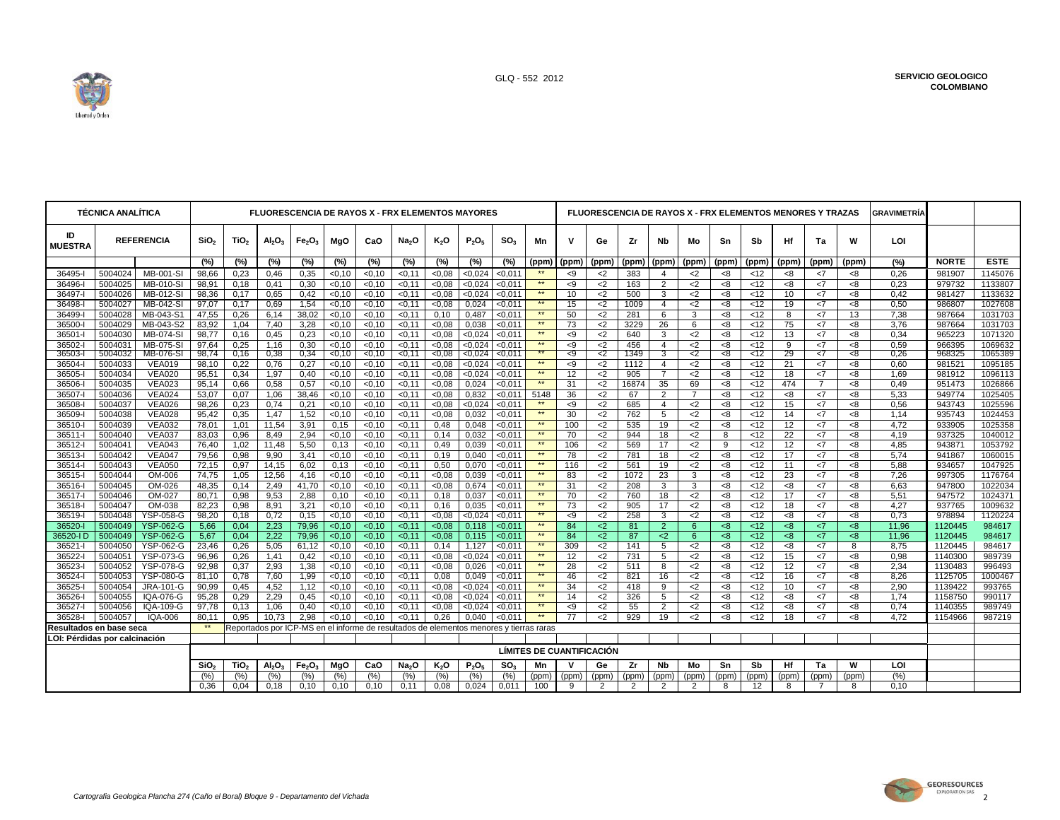

| <b>TÉCNICA ANALÍTICA</b>     |                    |                                | <b>FLUORESCENCIA DE RAYOS X - FRX ELEMENTOS MAYORES</b> |                  |                                |                                                                                        |                    |                 |                   |               |                |                    |                                  | FLUORESCENCIA DE RAYOS X - FRX ELEMENTOS MENORES Y TRAZAS |                |             |                     |                |           |                  |                 |                |           | <b>GRAVIMETRIA</b> |                  |                    |
|------------------------------|--------------------|--------------------------------|---------------------------------------------------------|------------------|--------------------------------|----------------------------------------------------------------------------------------|--------------------|-----------------|-------------------|---------------|----------------|--------------------|----------------------------------|-----------------------------------------------------------|----------------|-------------|---------------------|----------------|-----------|------------------|-----------------|----------------|-----------|--------------------|------------------|--------------------|
| ID<br><b>MUESTRA</b>         |                    | <b>REFERENCIA</b>              | SiO <sub>2</sub>                                        | TiO <sub>2</sub> | AI <sub>2</sub> O <sub>3</sub> | Fe <sub>2</sub> O <sub>3</sub>                                                         | MgO                | CaO             | Na <sub>2</sub> O | $K_2O$        | $P_2O_5$       | SO <sub>3</sub>    | Mn                               | v                                                         | Ge             | Zr          | Nb                  | Mo             | Sn        | Sb               | Ηf              | Ta             | W         | LOI                |                  |                    |
|                              |                    |                                | (%)                                                     | (%)              | $(\%)$                         | (%)                                                                                    | $(\%)$             | $\frac{1}{2}$   | $(\%)$            | $\sqrt{6}$    | $(\%)$         | $\sqrt{6}$         | (ppm)                            | (ppm)                                                     | (ppm)          | (ppm)       | (ppm)               | (ppm)          | (ppm)     | (ppm)            | (ppm)           | (ppm)          | (ppm)     | (%)                | <b>NORTE</b>     | <b>ESTE</b>        |
| 36495-l                      | 5004024            | <b>MB-001-SI</b>               | 98,66                                                   | 0,23             | 0,46                           | 0,35                                                                                   | < 0.10             | < 0.10          | < 0.11            | <0.08         | < 0.024        | < 0.011            | **                               | < 9                                                       | $<$ 2          | 383         | $\overline{4}$      | $<$ 2          | -8        | <12              | < 8             | <7             | < 8       | 0.26               | 981907           | 1145076            |
| 36496-                       | 5004025            | MB-010-SI                      | 98,91                                                   | 0,18             | 0,41                           | 0,30                                                                                   | < 0.10             | < 0.10          | < 0.11            | <0.08         | < 0,024        | < 0.011            | $**$                             | -9                                                        | $<$ 2          | 163         | 2                   | $<$ 2          | -8        | <12              | <8              | <7             | <8        | 0,23               | 979732           | 1133807            |
| 36497-l                      | 5004026            | MB-012-SI                      | 98,36                                                   | 0,17             | 0,65                           | 0,42                                                                                   | < 0, 10            | <0,10           | < 0, 11           | <0,08         | < 0.024        | $0,011$            | **<br>**                         | 10                                                        | $<$ 2          | 500         | 3                   | $<$ 2          | -8        | <12              | 10              | <7             | <8        | 0,42               | 981427           | 1133632            |
| 36498-<br>36499-             | 5004027<br>5004028 | MB-042-SI<br>MB-043-S1         | 97,07                                                   | 0,17             | 0,69<br>6,14                   | 1,54                                                                                   | < 0, 10            | < 0.10<br><0,10 | < 0.11            | <0.08         | 0,024<br>0,487 | < 0.011<br>< 0,011 | **                               | 15<br>50                                                  | $<$ 2<br>$<$ 2 | 1009<br>281 | $\overline{4}$<br>6 | $<$ 2<br>3     | < 8<br><8 | <12<br><12       | 19<br>8         | <7<br><7       | <8<br>13  | 0.50<br>7,38       | 986807<br>987664 | 1027608<br>1031703 |
| 36500-                       | 5004029            | MB-043-S2                      | 47,55<br>83,92                                          | 0,26<br>1,04     | 7,40                           | 38,02<br>3,28                                                                          | < 0, 10<br>< 0, 10 | < 0.10          | < 0, 11<br>< 0.11 | 0,10<br><0.08 | 0.038          | < 0.011            | **                               | 73                                                        | $2$            | 3229        | 26                  | 6              | < 8       | < 12             | 75              | <7             | < 8       | 3.76               | 987664           | 1031703            |
| 36501-                       | 5004030            | MB-074-SI                      | 98,77                                                   | 0,16             | 0,45                           | 0,23                                                                                   | < 0.10             | < 0.10          | < 0.11            | <0.08         | < 0.024        | < 0.011            | $**$                             | -9                                                        | $<$ 2          | 640         | 3                   | $<$ 2          | -8        | <12              | 13              | <7             | <8        | 0,34               | 965223           | 1071320            |
| 36502-l                      | 5004031            | <b>MB-075-SI</b>               | 97,64                                                   | 0,25             | 1,16                           | 0,30                                                                                   | < 0.10             | <0,10           | < 0.11            | <0.08         | < 0,024        | < 0.011            | **                               | -9                                                        | $<$ 2          | 456         | $\overline{4}$      | $<$ 2          | < 8       | < 12             | 9               | <7             | <8        | 0.59               | 966395           | 1069632            |
| 36503-l                      | 5004032            | <b>MB-076-SI</b>               | 98,74                                                   | 0,16             | 0,38                           | 0,34                                                                                   | $-0,10$            | $-0,10$         | < 0.11            | $-0.08$       | < 0.024        | $-0,011$           | **                               | -9                                                        | $<$ 2          | 1349        | 3                   | $\leq$         | <8        | $\overline{512}$ | $\overline{29}$ | $\overline{5}$ | <8        | 0.26               | 968325           | 1065389            |
| 36504-l                      | 5004033            | <b>VEA019</b>                  | 98,10                                                   | 0,22             | 0,76                           | 0,27                                                                                   | < 0.10             | < 0.10          | < 0.11            | <0.08         | < 0.024        | < 0.011            | **                               | -9                                                        | $<$ 2          | 1112        | $\overline{4}$      | $<$ 2          | -8        | < 12             | 21              | <7             | -8        | 0,60               | 981521           | 1095185            |
| 36505-                       | 5004034            | <b>VEA020</b>                  | 95,51                                                   | 0,34             | 1,97                           | 0,40                                                                                   | < 0, 10            | < 0.10          | < 0, 11           | < 0,08        | < 0.024        | < 0,011            | **                               | 12                                                        | $<$ 2          | 905         | $\overline{7}$      | $<$ 2          | <8        | <12              | 18              | <7             | <8        | 1,69               | 981912           | 1096113            |
| 36506-                       | 5004035            | <b>VEA023</b>                  | 95,14                                                   | 0,66             | 0,58                           | 0,57                                                                                   | < 0.10             | < 0.10          | < 0.11            | <0.08         | 0.024          | < 0.011            | **                               | 31                                                        | $<$ 2          | 16874       | 35                  | 69             | <8        | <12              | 474             | $\overline{7}$ | < 8       | 0.49               | 951473           | 1026866            |
| 36507-l                      | 5004036            | <b>VEA024</b>                  | 53,07                                                   | 0,07             | 1,06                           | 38,46                                                                                  | < 0, 10            | <0,10           | < 0.11            | <0.08         | 0,832          | < 0.011            | 5148                             | 36                                                        | $<$ 2          | 67          | 2                   | $\overline{7}$ | <8        | <12              | <8              | <7             | < 8       | 5.33               | 949774           | 1025405            |
| 36508-l                      | 5004037            | <b>VEA026</b>                  | 98,26                                                   | 0,23             | 0,74                           | 0,21                                                                                   | < 0, 10            | < 0.10          | < 0.11            | < 0,08        | < 0.024        | < 0.011            | $**$                             | < 9                                                       | $<$ 2          | 685         | $\overline{4}$      | $<$ 2          | < 8       | <12              | 15              | <7             | < 8       | 0.56               | 943743           | 1025596            |
| 36509-                       | 5004038            | <b>VEA028</b>                  | 95,42                                                   | 0,35             | 1,47                           | 1,52                                                                                   | $\sqrt{0, 10}$     | < 0.10          | < 0.11            | <0.08         | 0,032          | < 0.011            | $\star\star$<br>**               | 30                                                        | $<$ 2          | 762         | 5                   | $<$ 2          | <8        | < 12             | 14              | <7             | < 8       | 1,14               | 935743           | 1024453            |
| 36510-                       | 5004039            | <b>VEA032</b>                  | 78,01                                                   | 1,01             | 11,54                          | 3,91                                                                                   | 0,15               | < 0.10          | < 0, 11           | 0,48          | 0,048          | $0,011$            | **                               | 100                                                       | $<$ 2          | 535         | 19                  | $<$ 2          | < 8       | $\overline{12}$  | 12              | <7             | <8        | 4,72               | 933905           | 1025358            |
| 36511-l                      | 5004040            | <b>VEA037</b>                  | 83,03                                                   | 0,96             | 8,49                           | 2,94                                                                                   | < 0, 10            | < 0.10          | < 0.11            | 0,14          | 0,032          | < 0.011            | **                               | 70                                                        | $<$ 2          | 944         | 18                  | $<$ 2          | 8         | <12              | 22              | <7             | $8-$      | 4.19               | 937325<br>943871 | 1040012<br>1053792 |
| 36512-l<br>$36513 -$         | 5004041<br>5004042 | <b>VEA043</b><br><b>VEA047</b> | 76,40                                                   | 1,02             | 11,48<br>9,90                  | 5,50                                                                                   | 0,13               | <0,10           | < 0, 11           | 0,49          | 0,039          | $0,011$<br>< 0.011 | $**$                             | 106                                                       | $<$ 2          | 569         | 17<br>18            | $<$ 2          | 9         | <12              | 12<br>17        | <7             | <8        | 4,85               |                  | 1060015            |
| 36514-                       | 5004043            | <b>VEA050</b>                  | 79,56<br>72,15                                          | 0,98<br>0,97     | 14,15                          | 3,41<br>6,02                                                                           | < 0, 10<br>0,13    | < 0.10<br><0,10 | < 0.11<br>< 0.11  | 0,19<br>0,50  | 0.040<br>0,070 | < 0.011            | $\star\star$                     | 78<br>116                                                 | $<$ 2<br>$<$ 2 | 781<br>561  | 19                  | $<$ 2<br>$<$ 2 | < 8<br><8 | <12<br><12       | 11              | <7<br><7       | < 8<br><8 | 5.74<br>5,88       | 941867<br>934657 | 1047925            |
| 36515-l                      | 5004044            | OM-006                         | 74,75                                                   | 1,05             | 12,56                          | 4,16                                                                                   | < 0, 10            | <0,10           | < 0, 11           | < 0,08        | 0,039          | < 0.011            | $**$                             | 83                                                        | $<$ 2          | 1072        | 23                  | 3              | <8        | < 12             | 23              | <7             | < 8       | 7.26               | 997305           | 1176764            |
| 36516-l                      | 5004045            | OM-026                         | 48,35                                                   | 0,14             | 2,49                           | 41,70                                                                                  | < 0.10             | <0,10           | < 0, 11           | <0.08         | 0,674          | < 0.011            | $**$                             | 31                                                        | $<$ 2          | 208         | 3                   | 3              | < 8       | <12              | <8              | <7             | < 8       | 6,63               | 947800           | 1022034            |
| 36517-l                      | 5004046            | OM-027                         | 80,71                                                   | 0,98             | 9,53                           | 2,88                                                                                   | 0,10               | <0,10           | < 0, 11           | 0,18          | 0,037          | < 0,011            | **                               | 70                                                        | $<$ 2          | 760         | 18                  | $<$ 2          | <8        | <12              | 17              | <7             | <8        | 5,51               | 947572           | 1024371            |
| 36518-l                      | 5004047            | OM-038                         | 82,23                                                   | 0,98             | 8,91                           | 3,21                                                                                   | < 0.10             | < 0.10          | < 0.11            | 0.16          | 0,035          | < 0.011            | **                               | 73                                                        | $2$            | 905         | 17                  | $2$            | <8        | $\overline{5}$   | 18              | <7             | < 8       | 4.27               | 937765           | 1009632            |
| 36519-                       | 5004048            | <b>YSP-058-G</b>               | 98,20                                                   | 0,18             | 0,72                           | 0,15                                                                                   | < 0.10             | <0,10           | < 0.11            | <0.08         | < 0.024        | < 0.011            | **                               | -9                                                        | $<$ 2          | 258         | 3                   | $<$ 2          | <8        | <12              | < 8             | <7             | <8        | 0,73               | 978894           | 1120224            |
| 36520-                       | 5004049            | <b>YSP-062-G</b>               | 5,66                                                    | 0,04             | 2,23                           | 79,96                                                                                  | $-0,10$            | < 0.10          | < 0.11            | $-0.08$       | 0,118          | < 0.011            | $**$                             | 84                                                        | $2$            | 81          | $\overline{2}$      | 6              | <8        | < 12             | <8              | $\leq 7$       | <8        | 11,96              | 1120445          | 984617             |
| 36520-ID                     | 5004049            | <b>YSP-062-G</b>               | 5,67                                                    | 0,04             | 2,22                           | 79,96                                                                                  | < 0.10             | < 0.10          | < 0, 11           | < 0.08        | 0,115          | < 0.011            | **                               | 84                                                        | $<$ 2          | 87          | $\leq$              | 6              | <8        | <12              | <8              | $\leq 7$       | <8        | 11,96              | 1120445          | 984617             |
| 36521-l                      | 5004050            | YSP-062-G                      | 23,46                                                   | 0,26             | 5,05                           | 61,12                                                                                  | < 0.10             | <0,10           | < 0.11            | 0,14          | 1,127          | < 0.011            | **                               | 309                                                       | $<$ 2          | 141         | 5                   | $<$ 2          | -8        | <12              | <8              | <7             | 8         | 8.75               | 1120445          | 984617             |
| 36522-                       | 5004051            | <b>YSP-073-G</b>               | 96.96                                                   | 0,26             | 1,41                           | 0.42                                                                                   | < 0.10             | < 0.10          | < 0.11            | <0.08         | < 0.024        | < 0.011            | $**$                             | 12                                                        | $2$            | 731         | 5                   | $2$            | <8        | <12              | 15              | <7             | < 8       | 0.98               | 1140300          | 989739             |
| 36523-I                      | 5004052            | <b>YSP-078-G</b>               | 92,98                                                   | 0,37             | 2,93                           | 1,38                                                                                   | < 0.10             | < 0.10          | < 0.11            | <0.08         | 0,026          | < 0.011            | **                               | 28                                                        | $<$ 2          | 511         | 8                   | $<$ 2          | -8        | <12              | 12              | <7             | <8        | 2,34               | 1130483          | 996493             |
| 36524-l                      | 5004053            | <b>YSP-080-G</b>               | 81,10                                                   | 0,78             | 7,60                           | 1,99                                                                                   | < 0.10             | <0,10           | < 0.11            | 0.08          | 0,049          | < 0.011            | $\star\star$                     | 46                                                        | $<$ 2          | 821         | 16                  | $2$            | <8        | <12              | 16              | <7             | < 8       | 8,26               | 1125705          | 1000467            |
| 36525-l                      | 5004054            | JRA-101-G                      | 90,99                                                   | 0,45             | 4,52                           | 1,12                                                                                   | < 0, 10            | <0,10           | < 0.11            | < 0,08        | < 0.024        | < 0.011            | **                               | 34                                                        | $<$ 2          | 418         | 9                   | $<$ 2          | <8        | <12              | 10              | <7             | < 8       | 2,90               | 1139422          | 993765             |
| 36526-l                      | 5004055            | IQA-076-G                      | 95,28                                                   | 0,29             | 2,29                           | 0,45                                                                                   | < 0.10             | < 0.10          | < 0.11            | <0.08         | < 0.024        | < 0.011            | **                               | 14                                                        | $2$            | 326         | 5                   | $2$            | < 8       | <12              | $8-$            | <7             | $8-$      | 1.74               | 1158750          | 990117             |
| 36527-l                      | 5004056            | IQA-109-G                      | 97,78                                                   | 0,13             | 1,06                           | 0,40                                                                                   | < 0.10             | <0,10           | < 0.11            | <0.08         | < 0.024        | < 0.011            | $\star\star$                     | < 9                                                       | $<$ 2          | 55          | 2                   | $<$ 2          | <8        | <12              | <8              | <7             | <8        | 0,74               | 1140355          | 989749             |
| 36528-l                      | 5004057            | <b>IQA-006</b>                 | 80,11                                                   | 0,95             | 10,73                          | 2,98                                                                                   | < 0.10             | < 0.10          | < 0.11            | 0,26          | 0,040          | < 0.011            | **                               | 77                                                        | $<$ 2          | 929         | 19                  | $<$ 2          | -8        | <12              | 18              | <7             | -8        | 4,72               | 1154966          | 987219             |
| Resultados en base seca      |                    |                                | $**$                                                    |                  |                                | Reportados por ICP-MS en el informe de resultados de elementos menores y tierras raras |                    |                 |                   |               |                |                    |                                  |                                                           |                |             |                     |                |           |                  |                 |                |           |                    |                  |                    |
| OI: Pérdidas por calcinación |                    |                                |                                                         |                  |                                |                                                                                        |                    |                 |                   |               |                |                    |                                  |                                                           |                |             |                     |                |           |                  |                 |                |           |                    |                  |                    |
|                              |                    |                                |                                                         |                  |                                |                                                                                        |                    |                 |                   |               |                |                    | <b>LIMITES DE CUANTIFICACIÓN</b> |                                                           |                |             |                     |                |           |                  |                 |                |           |                    |                  |                    |
|                              |                    |                                | SiO <sub>2</sub>                                        | TiO <sub>2</sub> | Al <sub>2</sub> O <sub>3</sub> | Fe <sub>2</sub> O <sub>3</sub>                                                         | MgO                | CaO             | Na <sub>2</sub> O | $K_2O$        | $P_2O_5$       | SO <sub>3</sub>    | Mn                               |                                                           | Ge             | Zr          | Nb                  | Mo             | Sn        | Sb               | Hf              | Ta             | w         | LOI                |                  |                    |
|                              |                    |                                | (% )                                                    | (%)              | (% )                           | (%)                                                                                    | (%)                | (% )            | (%)               | (% )          | (%)            | (% )               | (ppm)                            | (ppm)                                                     | (ppm)          | (ppm)       | (ppm)               | (ppm           | (ppm)     | (ppm             | (ppm)           | (ppm)          | (ppm)     | (%)                |                  |                    |
|                              |                    |                                | 0,36                                                    | 0,04             | 0,18                           | 0,10                                                                                   | 0,10               | 0,10            | 0,11              | 0,08          | 0,024          | 0,011              | 100                              | 9                                                         | 2              | 2           | 2                   | 2              | 8         | 12               | 8               | $\overline{7}$ | 8         | 0.10               |                  |                    |